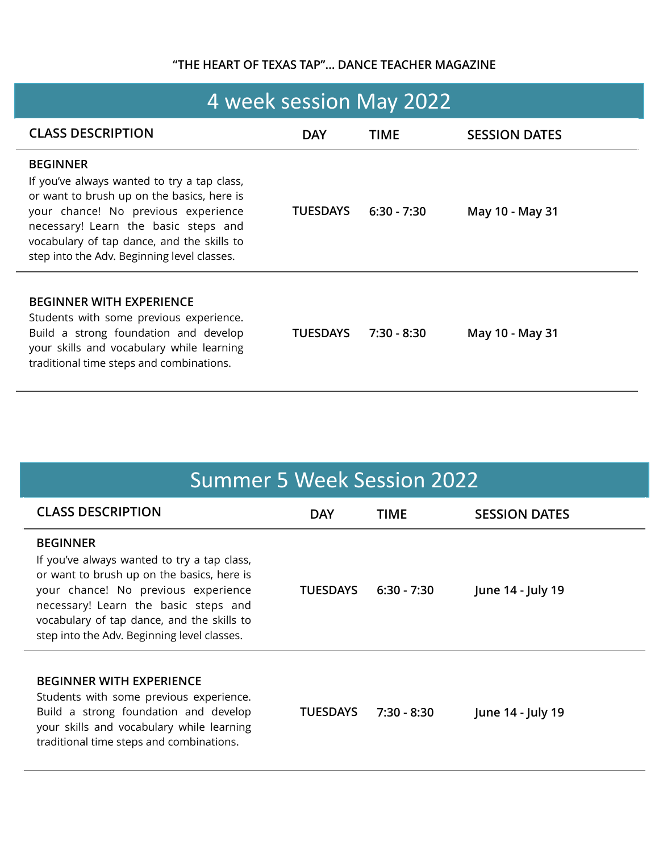## **"THE HEART OF TEXAS TAP"… DANCE TEACHER MAGAZINE**

| 4 week session May 2022                                                                                                                                                                                                                                                                  |                 |               |                      |  |  |
|------------------------------------------------------------------------------------------------------------------------------------------------------------------------------------------------------------------------------------------------------------------------------------------|-----------------|---------------|----------------------|--|--|
| <b>CLASS DESCRIPTION</b>                                                                                                                                                                                                                                                                 | <b>DAY</b>      | <b>TIME</b>   | <b>SESSION DATES</b> |  |  |
| <b>BEGINNER</b><br>If you've always wanted to try a tap class,<br>or want to brush up on the basics, here is<br>your chance! No previous experience<br>necessary! Learn the basic steps and<br>vocabulary of tap dance, and the skills to<br>step into the Adv. Beginning level classes. | <b>TUESDAYS</b> | $6:30 - 7:30$ | May 10 - May 31      |  |  |
| <b>BEGINNER WITH EXPERIENCE</b><br>Students with some previous experience.<br>Build a strong foundation and develop<br>your skills and vocabulary while learning<br>traditional time steps and combinations.                                                                             | <b>TUESDAYS</b> | $7:30 - 8:30$ | May 10 - May 31      |  |  |

# Summer 5 Week Session 2022

| <b>CLASS DESCRIPTION</b>                                                                                                                                                                                                                                                                 | <b>DAY</b>      | TIME          | <b>SESSION DATES</b> |
|------------------------------------------------------------------------------------------------------------------------------------------------------------------------------------------------------------------------------------------------------------------------------------------|-----------------|---------------|----------------------|
| <b>BEGINNER</b><br>If you've always wanted to try a tap class,<br>or want to brush up on the basics, here is<br>your chance! No previous experience<br>necessary! Learn the basic steps and<br>vocabulary of tap dance, and the skills to<br>step into the Adv. Beginning level classes. | <b>TUESDAYS</b> | $6:30 - 7:30$ | June 14 - July 19    |
| <b>BEGINNER WITH EXPERIENCE</b><br>Students with some previous experience.<br>Build a strong foundation and develop<br>your skills and vocabulary while learning<br>traditional time steps and combinations.                                                                             | <b>TUESDAYS</b> | 7:30 - 8:30   | June 14 - July 19    |